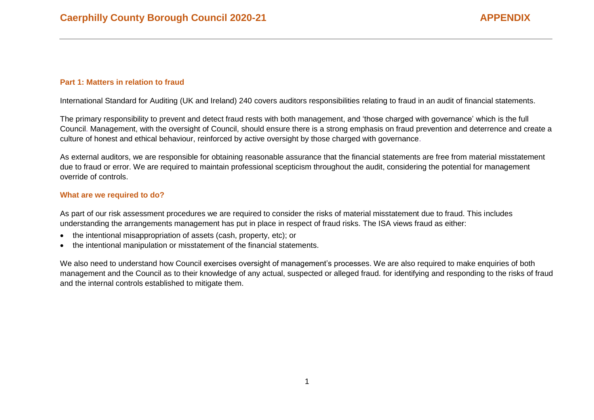## **Part 1: Matters in relation to fraud**

International Standard for Auditing (UK and Ireland) 240 covers auditors responsibilities relating to fraud in an audit of financial statements.

The primary responsibility to prevent and detect fraud rests with both management, and 'those charged with governance' which is the full Council. Management, with the oversight of Council, should ensure there is a strong emphasis on fraud prevention and deterrence and create a culture of honest and ethical behaviour, reinforced by active oversight by those charged with governance.

As external auditors, we are responsible for obtaining reasonable assurance that the financial statements are free from material misstatement due to fraud or error. We are required to maintain professional scepticism throughout the audit, considering the potential for management override of controls.

#### **What are we required to do?**

As part of our risk assessment procedures we are required to consider the risks of material misstatement due to fraud. This includes understanding the arrangements management has put in place in respect of fraud risks. The ISA views fraud as either:

- the intentional misappropriation of assets (cash, property, etc); or
- the intentional manipulation or misstatement of the financial statements.

We also need to understand how Council exercises oversight of management's processes. We are also required to make enquiries of both management and the Council as to their knowledge of any actual, suspected or alleged fraud. for identifying and responding to the risks of fraud and the internal controls established to mitigate them.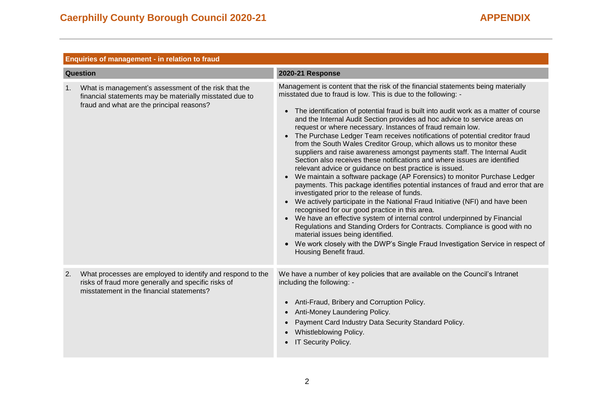|                | Enquiries of management - in relation to fraud                                                                                                                 |                                                                                                                                                                                                                                                                                                                                                                                                                                                                                                                                                                                                                                                                                                                                                                                                                                                                                                                                                                                                                                                                                                                                                                                                                                                                                                                                                                                                                                                              |  |
|----------------|----------------------------------------------------------------------------------------------------------------------------------------------------------------|--------------------------------------------------------------------------------------------------------------------------------------------------------------------------------------------------------------------------------------------------------------------------------------------------------------------------------------------------------------------------------------------------------------------------------------------------------------------------------------------------------------------------------------------------------------------------------------------------------------------------------------------------------------------------------------------------------------------------------------------------------------------------------------------------------------------------------------------------------------------------------------------------------------------------------------------------------------------------------------------------------------------------------------------------------------------------------------------------------------------------------------------------------------------------------------------------------------------------------------------------------------------------------------------------------------------------------------------------------------------------------------------------------------------------------------------------------------|--|
| Question       |                                                                                                                                                                | <b>2020-21 Response</b>                                                                                                                                                                                                                                                                                                                                                                                                                                                                                                                                                                                                                                                                                                                                                                                                                                                                                                                                                                                                                                                                                                                                                                                                                                                                                                                                                                                                                                      |  |
| 1 <sub>1</sub> | What is management's assessment of the risk that the<br>financial statements may be materially misstated due to<br>fraud and what are the principal reasons?   | Management is content that the risk of the financial statements being materially<br>misstated due to fraud is low. This is due to the following: -<br>The identification of potential fraud is built into audit work as a matter of course<br>$\bullet$<br>and the Internal Audit Section provides ad hoc advice to service areas on<br>request or where necessary. Instances of fraud remain low.<br>• The Purchase Ledger Team receives notifications of potential creditor fraud<br>from the South Wales Creditor Group, which allows us to monitor these<br>suppliers and raise awareness amongst payments staff. The Internal Audit<br>Section also receives these notifications and where issues are identified<br>relevant advice or guidance on best practice is issued.<br>We maintain a software package (AP Forensics) to monitor Purchase Ledger<br>payments. This package identifies potential instances of fraud and error that are<br>investigated prior to the release of funds.<br>We actively participate in the National Fraud Initiative (NFI) and have been<br>recognised for our good practice in this area.<br>• We have an effective system of internal control underpinned by Financial<br>Regulations and Standing Orders for Contracts. Compliance is good with no<br>material issues being identified.<br>We work closely with the DWP's Single Fraud Investigation Service in respect of<br>$\bullet$<br>Housing Benefit fraud. |  |
| 2.             | What processes are employed to identify and respond to the<br>risks of fraud more generally and specific risks of<br>misstatement in the financial statements? | We have a number of key policies that are available on the Council's Intranet<br>including the following: -<br>Anti-Fraud, Bribery and Corruption Policy.<br>$\bullet$<br>Anti-Money Laundering Policy.<br>$\bullet$<br>Payment Card Industry Data Security Standard Policy.<br>$\bullet$<br>Whistleblowing Policy.<br><b>IT Security Policy.</b>                                                                                                                                                                                                                                                                                                                                                                                                                                                                                                                                                                                                                                                                                                                                                                                                                                                                                                                                                                                                                                                                                                            |  |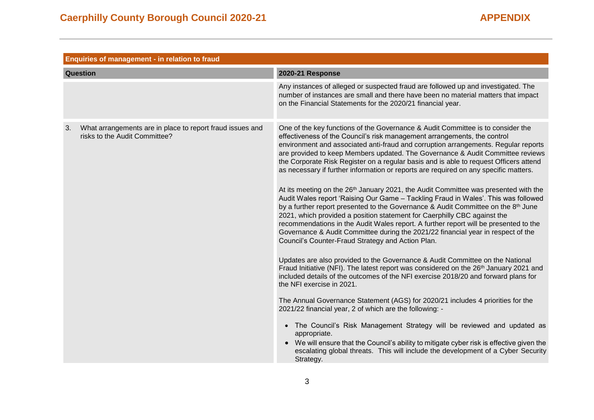|    | Enquiries of management - in relation to fraud                                             |                                                                                                                                                                                                                                                                                                                                                                                                                                                                                                                                                                                                                                                                                                                                                                                                                                                                                                                                                                                                                                                                                                                                                                                                                                                                                                                                                                                                                                                                                                                                                                                                                                                                                                                                                                                                                                                                  |  |
|----|--------------------------------------------------------------------------------------------|------------------------------------------------------------------------------------------------------------------------------------------------------------------------------------------------------------------------------------------------------------------------------------------------------------------------------------------------------------------------------------------------------------------------------------------------------------------------------------------------------------------------------------------------------------------------------------------------------------------------------------------------------------------------------------------------------------------------------------------------------------------------------------------------------------------------------------------------------------------------------------------------------------------------------------------------------------------------------------------------------------------------------------------------------------------------------------------------------------------------------------------------------------------------------------------------------------------------------------------------------------------------------------------------------------------------------------------------------------------------------------------------------------------------------------------------------------------------------------------------------------------------------------------------------------------------------------------------------------------------------------------------------------------------------------------------------------------------------------------------------------------------------------------------------------------------------------------------------------------|--|
|    | Question                                                                                   | <b>2020-21 Response</b>                                                                                                                                                                                                                                                                                                                                                                                                                                                                                                                                                                                                                                                                                                                                                                                                                                                                                                                                                                                                                                                                                                                                                                                                                                                                                                                                                                                                                                                                                                                                                                                                                                                                                                                                                                                                                                          |  |
|    |                                                                                            | Any instances of alleged or suspected fraud are followed up and investigated. The<br>number of instances are small and there have been no material matters that impact<br>on the Financial Statements for the 2020/21 financial year.                                                                                                                                                                                                                                                                                                                                                                                                                                                                                                                                                                                                                                                                                                                                                                                                                                                                                                                                                                                                                                                                                                                                                                                                                                                                                                                                                                                                                                                                                                                                                                                                                            |  |
| 3. | What arrangements are in place to report fraud issues and<br>risks to the Audit Committee? | One of the key functions of the Governance & Audit Committee is to consider the<br>effectiveness of the Council's risk management arrangements, the control<br>environment and associated anti-fraud and corruption arrangements. Regular reports<br>are provided to keep Members updated. The Governance & Audit Committee reviews<br>the Corporate Risk Register on a regular basis and is able to request Officers attend<br>as necessary if further information or reports are required on any specific matters.<br>At its meeting on the 26 <sup>th</sup> January 2021, the Audit Committee was presented with the<br>Audit Wales report 'Raising Our Game - Tackling Fraud in Wales'. This was followed<br>by a further report presented to the Governance & Audit Committee on the 8th June<br>2021, which provided a position statement for Caerphilly CBC against the<br>recommendations in the Audit Wales report. A further report will be presented to the<br>Governance & Audit Committee during the 2021/22 financial year in respect of the<br>Council's Counter-Fraud Strategy and Action Plan.<br>Updates are also provided to the Governance & Audit Committee on the National<br>Fraud Initiative (NFI). The latest report was considered on the 26 <sup>th</sup> January 2021 and<br>included details of the outcomes of the NFI exercise 2018/20 and forward plans for<br>the NFI exercise in 2021.<br>The Annual Governance Statement (AGS) for 2020/21 includes 4 priorities for the<br>2021/22 financial year, 2 of which are the following: -<br>• The Council's Risk Management Strategy will be reviewed and updated as<br>appropriate.<br>• We will ensure that the Council's ability to mitigate cyber risk is effective given the<br>escalating global threats. This will include the development of a Cyber Security<br>Strategy. |  |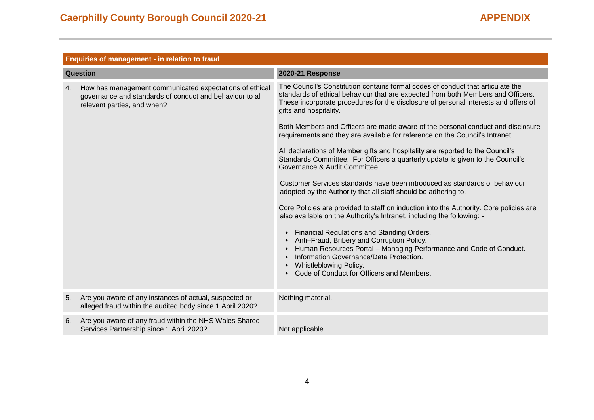|                 | Enquiries of management - in relation to fraud                                                                                                     |                                                                                                                                                                                                                                                                                                                                                                                                                                                                                                                                                                                                                                                                                                                                                                                                                                                                                                                                                                                                                                                                                                        |
|-----------------|----------------------------------------------------------------------------------------------------------------------------------------------------|--------------------------------------------------------------------------------------------------------------------------------------------------------------------------------------------------------------------------------------------------------------------------------------------------------------------------------------------------------------------------------------------------------------------------------------------------------------------------------------------------------------------------------------------------------------------------------------------------------------------------------------------------------------------------------------------------------------------------------------------------------------------------------------------------------------------------------------------------------------------------------------------------------------------------------------------------------------------------------------------------------------------------------------------------------------------------------------------------------|
| <b>Question</b> |                                                                                                                                                    | 2020-21 Response                                                                                                                                                                                                                                                                                                                                                                                                                                                                                                                                                                                                                                                                                                                                                                                                                                                                                                                                                                                                                                                                                       |
| 4.              | How has management communicated expectations of ethical<br>governance and standards of conduct and behaviour to all<br>relevant parties, and when? | The Council's Constitution contains formal codes of conduct that articulate the<br>standards of ethical behaviour that are expected from both Members and Officers.<br>These incorporate procedures for the disclosure of personal interests and offers of<br>gifts and hospitality.<br>Both Members and Officers are made aware of the personal conduct and disclosure<br>requirements and they are available for reference on the Council's Intranet.<br>All declarations of Member gifts and hospitality are reported to the Council's<br>Standards Committee. For Officers a quarterly update is given to the Council's<br>Governance & Audit Committee.<br>Customer Services standards have been introduced as standards of behaviour<br>adopted by the Authority that all staff should be adhering to.<br>Core Policies are provided to staff on induction into the Authority. Core policies are<br>also available on the Authority's Intranet, including the following: -<br>Financial Regulations and Standing Orders.<br>$\bullet$<br>Anti-Fraud, Bribery and Corruption Policy.<br>$\bullet$ |
|                 |                                                                                                                                                    | Human Resources Portal - Managing Performance and Code of Conduct.<br>$\bullet$<br>Information Governance/Data Protection.<br>$\bullet$<br>Whistleblowing Policy.<br>$\bullet$<br>Code of Conduct for Officers and Members.                                                                                                                                                                                                                                                                                                                                                                                                                                                                                                                                                                                                                                                                                                                                                                                                                                                                            |
| 5.              | Are you aware of any instances of actual, suspected or<br>alleged fraud within the audited body since 1 April 2020?                                | Nothing material.                                                                                                                                                                                                                                                                                                                                                                                                                                                                                                                                                                                                                                                                                                                                                                                                                                                                                                                                                                                                                                                                                      |
| 6.              | Are you aware of any fraud within the NHS Wales Shared<br>Services Partnership since 1 April 2020?                                                 | Not applicable.                                                                                                                                                                                                                                                                                                                                                                                                                                                                                                                                                                                                                                                                                                                                                                                                                                                                                                                                                                                                                                                                                        |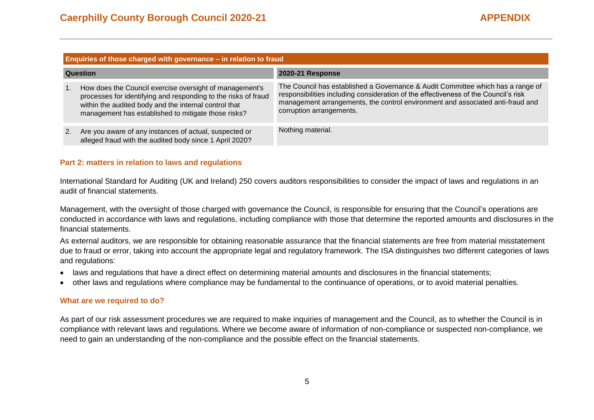| Enquiries of those charged with governance - in relation to fraud |                                                                                                                                                                                                                                           |                                                                                                                                                                                                                                                                                      |
|-------------------------------------------------------------------|-------------------------------------------------------------------------------------------------------------------------------------------------------------------------------------------------------------------------------------------|--------------------------------------------------------------------------------------------------------------------------------------------------------------------------------------------------------------------------------------------------------------------------------------|
| <b>Question</b>                                                   |                                                                                                                                                                                                                                           | <b>2020-21 Response</b>                                                                                                                                                                                                                                                              |
|                                                                   | How does the Council exercise oversight of management's<br>processes for identifying and responding to the risks of fraud<br>within the audited body and the internal control that<br>management has established to mitigate those risks? | The Council has established a Governance & Audit Committee which has a range of<br>responsibilities including consideration of the effectiveness of the Council's risk<br>management arrangements, the control environment and associated anti-fraud and<br>corruption arrangements. |
|                                                                   | Are you aware of any instances of actual, suspected or<br>alleged fraud with the audited body since 1 April 2020?                                                                                                                         | Nothing material.                                                                                                                                                                                                                                                                    |

#### **Part 2: matters in relation to laws and regulations**

International Standard for Auditing (UK and Ireland) 250 covers auditors responsibilities to consider the impact of laws and regulations in an audit of financial statements.

Management, with the oversight of those charged with governance the Council, is responsible for ensuring that the Council's operations are conducted in accordance with laws and regulations, including compliance with those that determine the reported amounts and disclosures in the financial statements.

As external auditors, we are responsible for obtaining reasonable assurance that the financial statements are free from material misstatement due to fraud or error, taking into account the appropriate legal and regulatory framework. The ISA distinguishes two different categories of laws and regulations:

- laws and regulations that have a direct effect on determining material amounts and disclosures in the financial statements;
- other laws and regulations where compliance may be fundamental to the continuance of operations, or to avoid material penalties.

#### **What are we required to do?**

As part of our risk assessment procedures we are required to make inquiries of management and the Council, as to whether the Council is in compliance with relevant laws and regulations. Where we become aware of information of non-compliance or suspected non-compliance, we need to gain an understanding of the non-compliance and the possible effect on the financial statements.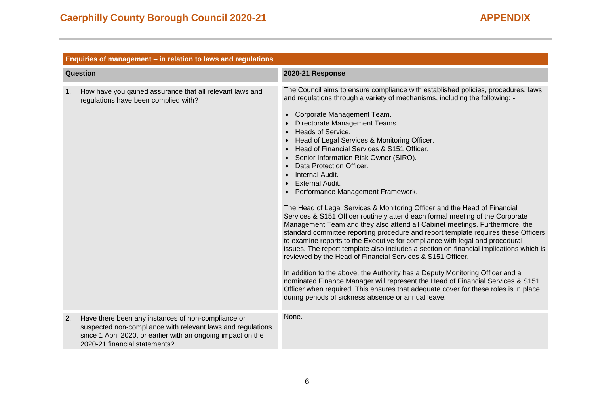|    | Enquiries of management - in relation to laws and regulations                                                                                                                                                      |                                                                                                                                                                                                                                                                                                                                                                                                                                                                                                                                                                                                                                                                                                                                                                                                                                                                                                                                                                                                                                                                                                                                                                                                                                                                                                                                                                                                                                                                                            |  |
|----|--------------------------------------------------------------------------------------------------------------------------------------------------------------------------------------------------------------------|--------------------------------------------------------------------------------------------------------------------------------------------------------------------------------------------------------------------------------------------------------------------------------------------------------------------------------------------------------------------------------------------------------------------------------------------------------------------------------------------------------------------------------------------------------------------------------------------------------------------------------------------------------------------------------------------------------------------------------------------------------------------------------------------------------------------------------------------------------------------------------------------------------------------------------------------------------------------------------------------------------------------------------------------------------------------------------------------------------------------------------------------------------------------------------------------------------------------------------------------------------------------------------------------------------------------------------------------------------------------------------------------------------------------------------------------------------------------------------------------|--|
|    | Question                                                                                                                                                                                                           | 2020-21 Response                                                                                                                                                                                                                                                                                                                                                                                                                                                                                                                                                                                                                                                                                                                                                                                                                                                                                                                                                                                                                                                                                                                                                                                                                                                                                                                                                                                                                                                                           |  |
| 1. | How have you gained assurance that all relevant laws and<br>regulations have been complied with?                                                                                                                   | The Council aims to ensure compliance with established policies, procedures, laws<br>and regulations through a variety of mechanisms, including the following: -<br>Corporate Management Team.<br>$\bullet$<br>Directorate Management Teams.<br><b>Heads of Service.</b><br>$\bullet$<br>Head of Legal Services & Monitoring Officer.<br>$\bullet$<br>Head of Financial Services & S151 Officer.<br>$\bullet$<br>Senior Information Risk Owner (SIRO).<br>$\bullet$<br>Data Protection Officer.<br>$\bullet$<br>Internal Audit.<br><b>External Audit.</b><br>Performance Management Framework.<br>The Head of Legal Services & Monitoring Officer and the Head of Financial<br>Services & S151 Officer routinely attend each formal meeting of the Corporate<br>Management Team and they also attend all Cabinet meetings. Furthermore, the<br>standard committee reporting procedure and report template requires these Officers<br>to examine reports to the Executive for compliance with legal and procedural<br>issues. The report template also includes a section on financial implications which is<br>reviewed by the Head of Financial Services & S151 Officer.<br>In addition to the above, the Authority has a Deputy Monitoring Officer and a<br>nominated Finance Manager will represent the Head of Financial Services & S151<br>Officer when required. This ensures that adequate cover for these roles is in place<br>during periods of sickness absence or annual leave. |  |
| 2. | Have there been any instances of non-compliance or<br>suspected non-compliance with relevant laws and regulations<br>since 1 April 2020, or earlier with an ongoing impact on the<br>2020-21 financial statements? | None.                                                                                                                                                                                                                                                                                                                                                                                                                                                                                                                                                                                                                                                                                                                                                                                                                                                                                                                                                                                                                                                                                                                                                                                                                                                                                                                                                                                                                                                                                      |  |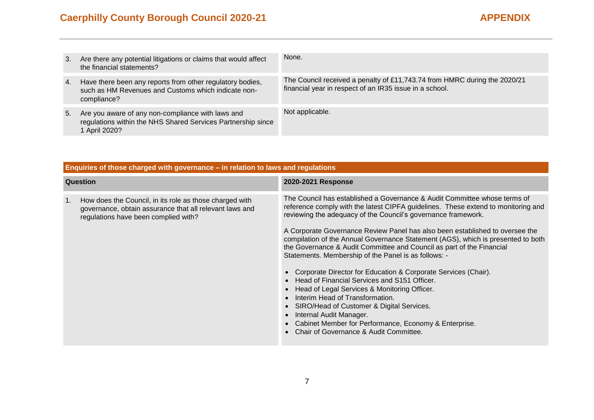# **Caerphilly County Borough Council 2020-21 APPENDIX**

| 3. | Are there any potential litigations or claims that would affect<br>the financial statements?                                       | None.                                                                                                                                |
|----|------------------------------------------------------------------------------------------------------------------------------------|--------------------------------------------------------------------------------------------------------------------------------------|
| 4. | Have there been any reports from other regulatory bodies,<br>such as HM Revenues and Customs which indicate non-<br>compliance?    | The Council received a penalty of £11,743.74 from HMRC during the 2020/21<br>financial year in respect of an IR35 issue in a school. |
| 5. | Are you aware of any non-compliance with laws and<br>regulations within the NHS Shared Services Partnership since<br>1 April 2020? | Not applicable.                                                                                                                      |

| Enquiries of those charged with governance - in relation to laws and regulations                                                                                 |                                                                                                                                                                                                                                                                                                                                                                                                                                                                                                                                                                                                                                                                                                                                                                                                                                                                                                                                                               |  |
|------------------------------------------------------------------------------------------------------------------------------------------------------------------|---------------------------------------------------------------------------------------------------------------------------------------------------------------------------------------------------------------------------------------------------------------------------------------------------------------------------------------------------------------------------------------------------------------------------------------------------------------------------------------------------------------------------------------------------------------------------------------------------------------------------------------------------------------------------------------------------------------------------------------------------------------------------------------------------------------------------------------------------------------------------------------------------------------------------------------------------------------|--|
| <b>Question</b>                                                                                                                                                  | 2020-2021 Response                                                                                                                                                                                                                                                                                                                                                                                                                                                                                                                                                                                                                                                                                                                                                                                                                                                                                                                                            |  |
| 1.<br>How does the Council, in its role as those charged with<br>governance, obtain assurance that all relevant laws and<br>regulations have been complied with? | The Council has established a Governance & Audit Committee whose terms of<br>reference comply with the latest CIPFA guidelines. These extend to monitoring and<br>reviewing the adequacy of the Council's governance framework.<br>A Corporate Governance Review Panel has also been established to oversee the<br>compilation of the Annual Governance Statement (AGS), which is presented to both<br>the Governance & Audit Committee and Council as part of the Financial<br>Statements. Membership of the Panel is as follows: -<br>• Corporate Director for Education & Corporate Services (Chair).<br>Head of Financial Services and S151 Officer.<br>Head of Legal Services & Monitoring Officer.<br>$\bullet$<br>Interim Head of Transformation.<br>SIRO/Head of Customer & Digital Services.<br>$\bullet$<br>Internal Audit Manager.<br>$\bullet$<br>Cabinet Member for Performance, Economy & Enterprise.<br>Chair of Governance & Audit Committee. |  |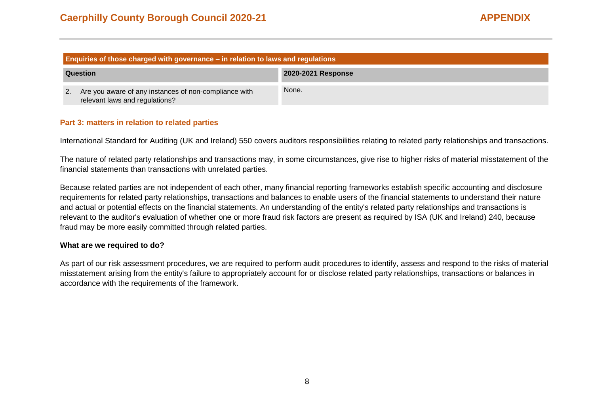| Enquiries of those charged with governance – in relation to laws and regulations |                                                                                         |                    |
|----------------------------------------------------------------------------------|-----------------------------------------------------------------------------------------|--------------------|
| Question                                                                         |                                                                                         | 2020-2021 Response |
| 2.                                                                               | Are you aware of any instances of non-compliance with<br>relevant laws and regulations? | None.              |

### **Part 3: matters in relation to related parties**

International Standard for Auditing (UK and Ireland) 550 covers auditors responsibilities relating to related party relationships and transactions.

The nature of related party relationships and transactions may, in some circumstances, give rise to higher risks of material misstatement of the financial statements than transactions with unrelated parties.

Because related parties are not independent of each other, many financial reporting frameworks establish specific accounting and disclosure requirements for related party relationships, transactions and balances to enable users of the financial statements to understand their nature and actual or potential effects on the financial statements. An understanding of the entity's related party relationships and transactions is relevant to the auditor's evaluation of whether one or more fraud risk factors are present as required by ISA (UK and Ireland) 240, because fraud may be more easily committed through related parties.

#### **What are we required to do?**

As part of our risk assessment procedures, we are required to perform audit procedures to identify, assess and respond to the risks of material misstatement arising from the entity's failure to appropriately account for or disclose related party relationships, transactions or balances in accordance with the requirements of the framework.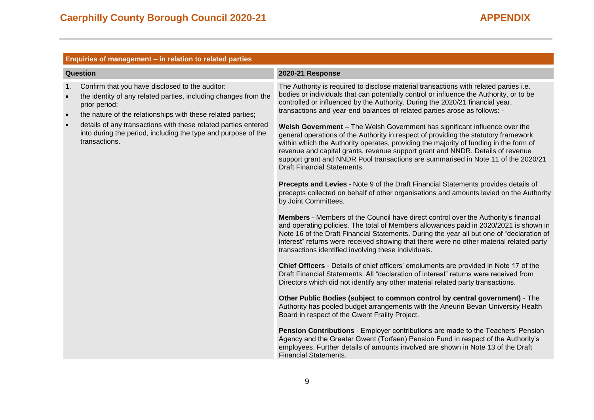|                                                       | Enquiries of management - in relation to related parties                                                                                                                                                                                                                                                                                               |                                                                                                                                                                                                                                                                                                                                                                                                                                                                                                                                                                                                                                                                                                                                                                                                                                                                                                                                                                                                                                                                                                                                                                                                                                                                                                                                                                                                                                                                                                                                                                                                                                                                                                                                                                                                                                                                                                                                                                                                                                                                                                                                                                                                                                                                  |  |
|-------------------------------------------------------|--------------------------------------------------------------------------------------------------------------------------------------------------------------------------------------------------------------------------------------------------------------------------------------------------------------------------------------------------------|------------------------------------------------------------------------------------------------------------------------------------------------------------------------------------------------------------------------------------------------------------------------------------------------------------------------------------------------------------------------------------------------------------------------------------------------------------------------------------------------------------------------------------------------------------------------------------------------------------------------------------------------------------------------------------------------------------------------------------------------------------------------------------------------------------------------------------------------------------------------------------------------------------------------------------------------------------------------------------------------------------------------------------------------------------------------------------------------------------------------------------------------------------------------------------------------------------------------------------------------------------------------------------------------------------------------------------------------------------------------------------------------------------------------------------------------------------------------------------------------------------------------------------------------------------------------------------------------------------------------------------------------------------------------------------------------------------------------------------------------------------------------------------------------------------------------------------------------------------------------------------------------------------------------------------------------------------------------------------------------------------------------------------------------------------------------------------------------------------------------------------------------------------------------------------------------------------------------------------------------------------------|--|
|                                                       | <b>Question</b>                                                                                                                                                                                                                                                                                                                                        | <b>2020-21 Response</b>                                                                                                                                                                                                                                                                                                                                                                                                                                                                                                                                                                                                                                                                                                                                                                                                                                                                                                                                                                                                                                                                                                                                                                                                                                                                                                                                                                                                                                                                                                                                                                                                                                                                                                                                                                                                                                                                                                                                                                                                                                                                                                                                                                                                                                          |  |
| 1 <sub>1</sub><br>$\bullet$<br>$\bullet$<br>$\bullet$ | Confirm that you have disclosed to the auditor:<br>the identity of any related parties, including changes from the<br>prior period;<br>the nature of the relationships with these related parties;<br>details of any transactions with these related parties entered<br>into during the period, including the type and purpose of the<br>transactions. | The Authority is required to disclose material transactions with related parties i.e.<br>bodies or individuals that can potentially control or influence the Authority, or to be<br>controlled or influenced by the Authority. During the 2020/21 financial year,<br>transactions and year-end balances of related parties arose as follows: -<br>Welsh Government - The Welsh Government has significant influence over the<br>general operations of the Authority in respect of providing the statutory framework<br>within which the Authority operates, providing the majority of funding in the form of<br>revenue and capital grants, revenue support grant and NNDR. Details of revenue<br>support grant and NNDR Pool transactions are summarised in Note 11 of the 2020/21<br><b>Draft Financial Statements.</b><br><b>Precepts and Levies</b> - Note 9 of the Draft Financial Statements provides details of<br>precepts collected on behalf of other organisations and amounts levied on the Authority<br>by Joint Committees.<br>Members - Members of the Council have direct control over the Authority's financial<br>and operating policies. The total of Members allowances paid in 2020/2021 is shown in<br>Note 16 of the Draft Financial Statements. During the year all but one of "declaration of<br>interest" returns were received showing that there were no other material related party<br>transactions identified involving these individuals.<br>Chief Officers - Details of chief officers' emoluments are provided in Note 17 of the<br>Draft Financial Statements. All "declaration of interest" returns were received from<br>Directors which did not identify any other material related party transactions.<br>Other Public Bodies (subject to common control by central government) - The<br>Authority has pooled budget arrangements with the Aneurin Bevan University Health<br>Board in respect of the Gwent Frailty Project.<br>Pension Contributions - Employer contributions are made to the Teachers' Pension<br>Agency and the Greater Gwent (Torfaen) Pension Fund in respect of the Authority's<br>employees. Further details of amounts involved are shown in Note 13 of the Draft<br><b>Financial Statements.</b> |  |